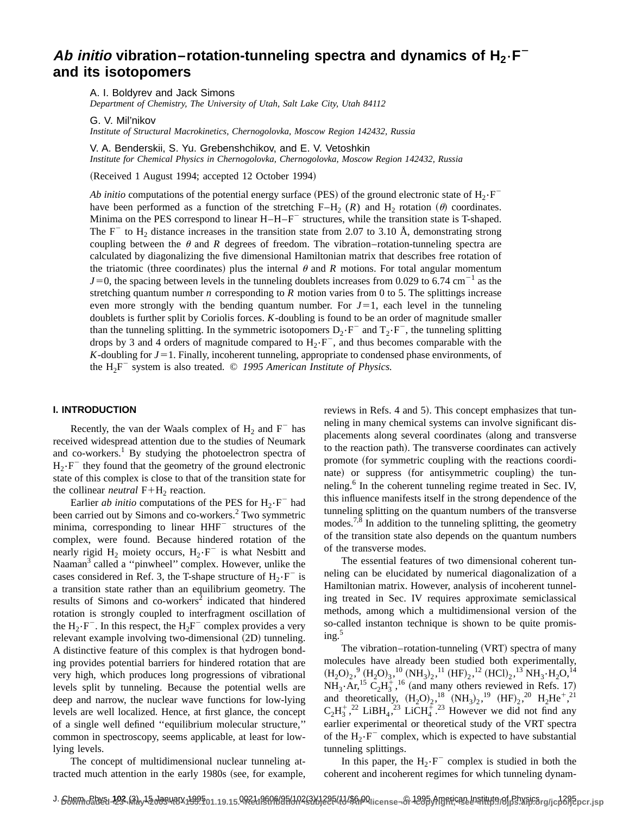# Ab *initio* vibration–rotation-tunneling spectra and dynamics of  $H_2 \cdot F^$ **and its isotopomers**

A. I. Boldyrev and Jack Simons

*Department of Chemistry, The University of Utah, Salt Lake City, Utah 84112*

G. V. Mil'nikov

*Institute of Structural Macrokinetics, Chernogolovka, Moscow Region 142432, Russia*

V. A. Benderskii, S. Yu. Grebenshchikov, and E. V. Vetoshkin

*Institute for Chemical Physics in Chernogolovka, Chernogolovka, Moscow Region 142432, Russia*

(Received 1 August 1994; accepted 12 October 1994)

*Ab initio* computations of the potential energy surface (PES) of the ground electronic state of  $H_2$ - $F^$ have been performed as a function of the stretching  $F-H_2 (R)$  and  $H_2$  rotation ( $\theta$ ) coordinates. Minima on the PES correspond to linear  $H - H - F$  structures, while the transition state is T-shaped. The F<sup>-</sup> to H<sub>2</sub> distance increases in the transition state from 2.07 to 3.10 Å, demonstrating strong coupling between the  $\theta$  and  $R$  degrees of freedom. The vibration-rotation-tunneling spectra are calculated by diagonalizing the five dimensional Hamiltonian matrix that describes free rotation of the triatomic (three coordinates) plus the internal  $\theta$  and *R* motions. For total angular momentum  $J=0$ , the spacing between levels in the tunneling doublets increases from 0.029 to 6.74 cm<sup>-1</sup> as the stretching quantum number *n* corresponding to *R* motion varies from 0 to 5. The splittings increase even more strongly with the bending quantum number. For  $J=1$ , each level in the tunneling doublets is further split by Coriolis forces. *K*-doubling is found to be an order of magnitude smaller than the tunneling splitting. In the symmetric isotopomers  $D_2 \cdot F^-$  and  $T_2 \cdot F^-$ , the tunneling splitting drops by 3 and 4 orders of magnitude compared to  $H_2 \cdot F^-$ , and thus becomes comparable with the *K*-doubling for  $J=1$ . Finally, incoherent tunneling, appropriate to condensed phase environments, of the  $H_2F^-$  system is also treated.  $\odot$  1995 American Institute of Physics.

## **I. INTRODUCTION**

Recently, the van der Waals complex of  $H_2$  and  $F^-$  has received widespread attention due to the studies of Neumark and co-workers.<sup>1</sup> By studying the photoelectron spectra of  $H_2 \cdot F^-$  they found that the geometry of the ground electronic state of this complex is close to that of the transition state for the collinear *neutral*  $F+H_2$  reaction.

Earlier *ab initio* computations of the PES for  $H_2 \cdot F^-$  had been carried out by Simons and co-workers.<sup>2</sup> Two symmetric minima, corresponding to linear HHF<sup>-</sup> structures of the complex, were found. Because hindered rotation of the nearly rigid  $H_2$  moiety occurs,  $H_2 \cdot F^-$  is what Nesbitt and Naaman<sup>3</sup> called a "pinwheel" complex. However, unlike the cases considered in Ref. 3, the T-shape structure of  $H_2 \cdot F^-$  is a transition state rather than an equilibrium geometry. The results of Simons and co-workers<sup>2</sup> indicated that hindered rotation is strongly coupled to interfragment oscillation of the  $H_2 \cdot F^-$ . In this respect, the  $H_2F^-$  complex provides a very relevant example involving two-dimensional  $(2D)$  tunneling. A distinctive feature of this complex is that hydrogen bonding provides potential barriers for hindered rotation that are very high, which produces long progressions of vibrational levels split by tunneling. Because the potential wells are deep and narrow, the nuclear wave functions for low-lying levels are well localized. Hence, at first glance, the concept of a single well defined ''equilibrium molecular structure,'' common in spectroscopy, seems applicable, at least for lowlying levels.

The concept of multidimensional nuclear tunneling attracted much attention in the early 1980s (see, for example, reviews in Refs. 4 and 5). This concept emphasizes that tunneling in many chemical systems can involve significant displacements along several coordinates (along and transverse to the reaction path). The transverse coordinates can actively promote (for symmetric coupling with the reactions coordinate) or suppress (for antisymmetric coupling) the tunneling.<sup>6</sup> In the coherent tunneling regime treated in Sec. IV, this influence manifests itself in the strong dependence of the tunneling splitting on the quantum numbers of the transverse modes.<sup>7,8</sup> In addition to the tunneling splitting, the geometry of the transition state also depends on the quantum numbers of the transverse modes.

The essential features of two dimensional coherent tunneling can be elucidated by numerical diagonalization of a Hamiltonian matrix. However, analysis of incoherent tunneling treated in Sec. IV requires approximate semiclassical methods, among which a multidimensional version of the so-called instanton technique is shown to be quite promis $ine<sup>5</sup>$ 

The vibration–rotation-tunneling  $(VRT)$  spectra of many molecules have already been studied both experimentally,  $(\text{H}_2\text{O})_2, ^9 \text{(H}_2\text{O})_3, ^{10} \text{(NH}_3)_2, ^{11} \text{(HF)}_2, ^{12} \text{(HCl)}_2, ^{13} \text{NH}_3\cdot \text{H}_2\text{O}, ^{14}$  $NH_3 \cdot Ar$ ,<sup>15</sup> C<sub>2</sub>H<sub>3</sub><sup>+</sup>,<sup>16</sup> (and many others reviewed in Refs. 17) and theoretically,  $(H_2O)_2$ ,<sup>18</sup>  $(NH_3)_2$ ,<sup>19</sup>  $(HF)_2$ ,<sup>20</sup>  $H_2He^{+,21}$  $C_2H_3^+$ ,<sup>22</sup> LiBH<sub>4</sub>,<sup>23</sup> LiCH<sub>4</sub><sup>+</sup>.<sup>23</sup> However we did not find any earlier experimental or theoretical study of the VRT spectra of the  $H_2 \cdot F^-$  complex, which is expected to have substantial tunneling splittings.

In this paper, the  $H_2 \cdot F^-$  complex is studied in both the coherent and incoherent regimes for which tunneling dynam-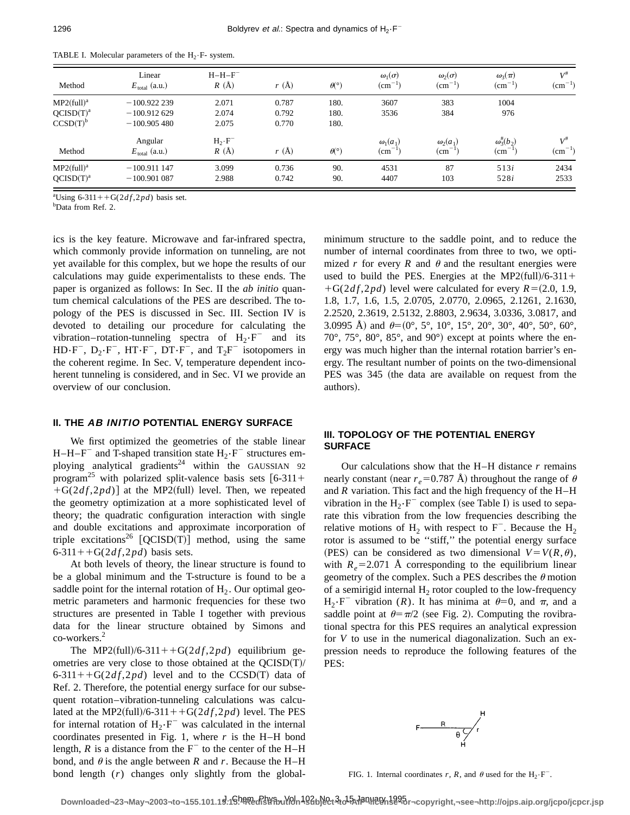| Method                    | Linear<br>$E_{\text{total}}$ (a.u.) | $H-H-F^-$<br>$R(\AA)$ | $r(\AA)$ | $\theta$ <sup>(°)</sup> | $\omega_1(\sigma)$<br>$\rm (cm^{-1})$ | $\omega_2(\sigma)$<br>$\rm (cm^{-1})$ | $\omega_3(\pi)$<br>$\rm \left( cm^{-1} \right)$ | $V^{\#}$<br>$\rm (cm^{-1})$ |
|---------------------------|-------------------------------------|-----------------------|----------|-------------------------|---------------------------------------|---------------------------------------|-------------------------------------------------|-----------------------------|
| $MP2$ (full) <sup>a</sup> | $-100.922239$                       | 2.071                 | 0.787    | 180.                    | 3607                                  | 383                                   | 1004                                            |                             |
| QCISD(T) <sup>a</sup>     | $-100.912629$                       | 2.074                 | 0.792    | 180.                    | 3536                                  | 384                                   | 976                                             |                             |
| CCSD(T) <sup>b</sup>      | $-100.905480$                       | 2.075                 | 0.770    | 180.                    |                                       |                                       |                                                 |                             |
|                           | Angular                             | $H_2 \cdot F^-$       |          |                         | $\omega_1(a_1)$                       | $\omega_2(a_1)$                       | $\omega_3^{\#}(b_2)$                            | $V^{\#}$                    |
| Method                    | $E_{\text{total}}$ (a.u.)           | R(A)                  | r(A)     | $\theta$ <sup>(°)</sup> | $\rm (cm^{-1})$                       | $\rm (cm^{-1})$                       | $\rm \left( cm^{-1} \right)$                    | $\rm (cm^{-1})$             |
| $MP2$ (full) <sup>a</sup> | $-100.911147$                       | 3.099                 | 0.736    | 90.                     | 4531                                  | 87                                    | 513i                                            | 2434                        |
| QCISD(T) <sup>a</sup>     | $-100.901087$                       | 2.988                 | 0.742    | 90.                     | 4407                                  | 103                                   | 528i                                            | 2533                        |

TABLE I. Molecular parameters of the  $H_2 \cdot F$ - system.

<sup>a</sup>Using 6-311++G(2 $df$ ,2 $pd$ ) basis set.

b Data from Ref. 2.

ics is the key feature. Microwave and far-infrared spectra, which commonly provide information on tunneling, are not yet available for this complex, but we hope the results of our calculations may guide experimentalists to these ends. The paper is organized as follows: In Sec. II the *ab initio* quantum chemical calculations of the PES are described. The topology of the PES is discussed in Sec. III. Section IV is devoted to detailing our procedure for calculating the vibration–rotation-tunneling spectra of  $H_2 \cdot F^-$  and its  $HD\cdot F^-$ ,  $D_2\cdot F^-$ ,  $HT\cdot F^-$ ,  $DT\cdot F^-$ , and  $T_2F^-$  isotopomers in the coherent regime. In Sec. V, temperature dependent incoherent tunneling is considered, and in Sec. VI we provide an overview of our conclusion.

## **II. THE AB INITIO POTENTIAL ENERGY SURFACE**

We first optimized the geometries of the stable linear H–H–F<sup>-</sup> and T-shaped transition state  $H_2 \cdot F^-$  structures employing analytical gradients<sup>24</sup> within the GAUSSIAN 92 program<sup>25</sup> with polarized split-valence basis sets  $[6-311+$  $+G(2df, 2pd)$  at the MP2(full) level. Then, we repeated the geometry optimization at a more sophisticated level of theory; the quadratic configuration interaction with single and double excitations and approximate incorporation of triple excitations<sup>26</sup>  $[QCISD(T)]$  method, using the same 6-311++G( $2df, 2pd$ ) basis sets.

At both levels of theory, the linear structure is found to be a global minimum and the T-structure is found to be a saddle point for the internal rotation of  $H<sub>2</sub>$ . Our optimal geometric parameters and harmonic frequencies for these two structures are presented in Table I together with previous data for the linear structure obtained by Simons and co-workers.<sup>2</sup>

The MP2(full)/6-311++G( $2df$ , $2pd$ ) equilibrium geometries are very close to those obtained at the  $QCISD(T)/T$  $6-311++G(2df,2pd)$  level and to the CCSD(T) data of Ref. 2. Therefore, the potential energy surface for our subsequent rotation–vibration-tunneling calculations was calculated at the MP2(full)/6-311++G( $2df$ , $2pd$ ) level. The PES for internal rotation of  $H_2 \cdot F^-$  was calculated in the internal coordinates presented in Fig. 1, where  $r$  is the H–H bond length,  $R$  is a distance from the  $F^-$  to the center of the H–H bond, and  $\theta$  is the angle between *R* and *r*. Because the H–H bond length (*r*) changes only slightly from the globalminimum structure to the saddle point, and to reduce the number of internal coordinates from three to two, we optimized *r* for every *R* and  $\theta$  and the resultant energies were used to build the PES. Energies at the MP2(full)/6-311+  $+G(2df, 2pd)$  level were calculated for every  $R=(2.0, 1.9,$ 1.8, 1.7, 1.6, 1.5, 2.0705, 2.0770, 2.0965, 2.1261, 2.1630, 2.2520, 2.3619, 2.5132, 2.8803, 2.9634, 3.0336, 3.0817, and 3.0995 Å) and  $\theta=(0^\circ, 5^\circ, 10^\circ, 15^\circ, 20^\circ, 30^\circ, 40^\circ, 50^\circ, 60^\circ,$ 70 $^{\circ}$ , 75 $^{\circ}$ , 80 $^{\circ}$ , 85 $^{\circ}$ , and 90 $^{\circ}$ ) except at points where the energy was much higher than the internal rotation barrier's energy. The resultant number of points on the two-dimensional PES was 345 (the data are available on request from the authors).

## **III. TOPOLOGY OF THE POTENTIAL ENERGY SURFACE**

Our calculations show that the H–H distance *r* remains nearly constant (near  $r_e$ =0.787 Å) throughout the range of  $\theta$ and *R* variation. This fact and the high frequency of the H–H vibration in the  $H_2 \cdot F^-$  complex (see Table I) is used to separate this vibration from the low frequencies describing the relative motions of H<sub>2</sub> with respect to  $F^-$ . Because the H<sub>2</sub> rotor is assumed to be ''stiff,'' the potential energy surface (PES) can be considered as two dimensional  $V = V(R, \theta)$ , with  $R_e$ =2.071 Å corresponding to the equilibrium linear geometry of the complex. Such a PES describes the  $\theta$  motion of a semirigid internal  $H_2$  rotor coupled to the low-frequency  $H_2 \cdot F^-$  vibration (*R*). It has minima at  $\theta = 0$ , and  $\pi$ , and a saddle point at  $\theta = \pi/2$  (see Fig. 2). Computing the rovibrational spectra for this PES requires an analytical expression for *V* to use in the numerical diagonalization. Such an expression needs to reproduce the following features of the PES:



FIG. 1. Internal coordinates *r*, *R*, and  $\theta$  used for the H<sub>2</sub>·F<sup>-</sup>.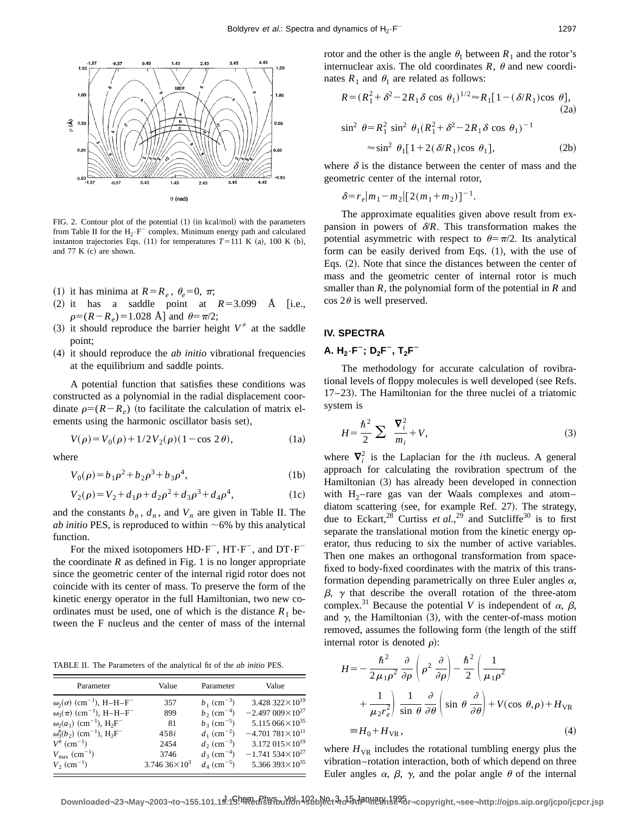

FIG. 2. Contour plot of the potential  $(1)$  (in kcal/mol) with the parameters from Table II for the  $H_2 \cdot F^-$  complex. Minimum energy path and calculated instanton trajectories Eqs.  $(11)$  for temperatures  $T=111$  K  $(a)$ , 100 K  $(b)$ , and  $77 K (c)$  are shown.

- (1) it has minima at  $R = R_e$ ,  $\theta_e = 0$ ,  $\pi$ ;
- $(2)$  it has a saddle point at  $R=3.099$  Å [i.e.,  $\rho=(R-R_e)=1.028$  Å] and  $\theta=\pi/2$ ;
- (3) it should reproduce the barrier height  $V^{\neq}$  at the saddle point;
- ~4! it should reproduce the *ab initio* vibrational frequencies at the equilibrium and saddle points.

A potential function that satisfies these conditions was constructed as a polynomial in the radial displacement coordinate  $\rho=(R-R_e)$  (to facilitate the calculation of matrix elements using the harmonic oscillator basis set),

$$
V(\rho) = V_0(\rho) + 1/2 V_2(\rho) (1 - \cos 2\theta),
$$
 (1a)

where

$$
V_0(\rho) = b_1 \rho^2 + b_2 \rho^3 + b_3 \rho^4,\tag{1b}
$$

$$
V_2(\rho) = V_2 + d_1 \rho + d_2 \rho^2 + d_3 \rho^3 + d_4 \rho^4, \tag{1c}
$$

and the constants  $b_n$ ,  $d_n$ , and  $V_n$  are given in Table II. The *ab initio* PES, is reproduced to within  $~6\%$  by this analytical function.

For the mixed isotopomers  $HD\cdot F^-$ ,  $HT\cdot F^-$ , and  $DT\cdot F^$ the coordinate  $R$  as defined in Fig. 1 is no longer appropriate since the geometric center of the internal rigid rotor does not coincide with its center of mass. To preserve the form of the kinetic energy operator in the full Hamiltonian, two new coordinates must be used, one of which is the distance  $R_1$  between the F nucleus and the center of mass of the internal

TABLE II. The Parameters of the analytical fit of the *ab initio* PES.

| Parameter                                                                | Value                 | Parameter                 | Value                               |  |
|--------------------------------------------------------------------------|-----------------------|---------------------------|-------------------------------------|--|
| $\omega_2(\sigma)$ (cm <sup>-1</sup> ), H-H-F <sup>-</sup>               | 357                   | $b_1$ (cm <sup>-3</sup> ) | 3.428 322 $\times$ 10 <sup>19</sup> |  |
| $\omega_3(\pi)$ (cm <sup>-1</sup> ), H-H-F <sup>-</sup>                  | 899                   | $b_2$ (cm <sup>-4</sup> ) | $-2.497009\times10^{27}$            |  |
| $\omega_2(a_1)$ (cm <sup>-1</sup> ), H <sub>2</sub> F <sup>-1</sup>      | 81                    | $b_3$ (cm <sup>-5</sup> ) | 5.115 $066 \times 10^{35}$          |  |
| $\omega_3^{\#}(b_2)$ (cm <sup>-1</sup> ), H <sub>2</sub> F <sup>-1</sup> | 458i                  | $d_1$ (cm <sup>-2</sup> ) | $-4.701781\times10^{11}$            |  |
| $V^{\#}$ (cm <sup>-1</sup> )                                             | 2454                  | $d_2$ (cm <sup>-3</sup> ) | $3.172\,015\times10^{19}$           |  |
| $V_{\rm max}$ (cm <sup>-1</sup> )                                        | 3746                  | $d_3$ (cm <sup>-4</sup> ) | $-1.741534\times10^{27}$            |  |
| $V_2$ (cm <sup>-1</sup> )                                                | $3.74636\times10^{3}$ | $d_4$ (cm <sup>-5</sup> ) | 5.366 393 $\times$ 10 <sup>35</sup> |  |

rotor and the other is the angle  $\theta_1$  between  $R_1$  and the rotor's internuclear axis. The old coordinates  $R$ ,  $\theta$  and new coordinates  $R_1$  and  $\theta_1$  are related as follows:

$$
R = (R_1^2 + \delta^2 - 2R_1\delta \cos \theta_1)^{1/2} \approx R_1[1 - (\delta/R_1)\cos \theta],
$$
  
\n(2a)  
\n
$$
\sin^2 \theta = R_1^2 \sin^2 \theta_1 (R_1^2 + \delta^2 - 2R_1\delta \cos \theta_1)^{-1}
$$
  
\n
$$
\approx \sin^2 \theta_1 [1 + 2(\delta/R_1)\cos \theta_1],
$$
\n(2b)

where  $\delta$  is the distance between the center of mass and the geometric center of the internal rotor,

$$
\delta = r_e |m_1 - m_2| [2(m_1 + m_2)]^{-1}.
$$

The approximate equalities given above result from expansion in powers of  $\delta/R$ . This transformation makes the potential asymmetric with respect to  $\theta = \pi/2$ . Its analytical form can be easily derived from Eqs.  $(1)$ , with the use of Eqs.  $(2)$ . Note that since the distances between the center of mass and the geometric center of internal rotor is much smaller than *R*, the polynomial form of the potential in *R* and  $\cos 2\theta$  is well preserved.

## **IV. SPECTRA**

# **A.** H<sub>2</sub>·**F**<sup>-</sup>; D<sub>2</sub>**F**<sup>-</sup>, T<sub>2</sub>**F**<sup>-</sup>

The methodology for accurate calculation of rovibrational levels of floppy molecules is well developed (see Refs.  $17-23$ ). The Hamiltonian for the three nuclei of a triatomic system is

$$
H = \frac{\hbar^2}{2} \sum \frac{\nabla_i^2}{m_i} + V,\tag{3}
$$

where  $\nabla_i^2$  is the Laplacian for the *i*th nucleus. A general approach for calculating the rovibration spectrum of the Hamiltonian (3) has already been developed in connection with  $H_2$ -rare gas van der Waals complexes and atomdiatom scattering (see, for example Ref. 27). The strategy, due to Eckart,<sup>28</sup> Curtiss *et al.*,<sup>29</sup> and Sutcliffe<sup>30</sup> is to first separate the translational motion from the kinetic energy operator, thus reducing to six the number of active variables. Then one makes an orthogonal transformation from spacefixed to body-fixed coordinates with the matrix of this transformation depending parametrically on three Euler angles  $\alpha$ ,  $\beta$ ,  $\gamma$  that describe the overall rotation of the three-atom complex.<sup>31</sup> Because the potential *V* is independent of  $\alpha$ ,  $\beta$ , and  $\gamma$ , the Hamiltonian (3), with the center-of-mass motion removed, assumes the following form (the length of the stiff internal rotor is denoted  $\rho$ :

$$
H = -\frac{\hbar^2}{2\mu_1 \rho^2} \frac{\partial}{\partial \rho} \left( \rho^2 \frac{\partial}{\partial \rho} \right) - \frac{\hbar^2}{2} \left( \frac{1}{\mu_1 \rho^2} + \frac{1}{\mu_2 r_e^2} \right) \frac{1}{\sin \theta} \frac{\partial}{\partial \theta} \left( \sin \theta \frac{\partial}{\partial \theta} \right) + V(\cos \theta, \rho) + H_{\text{VR}} \n\equiv H_0 + H_{\text{VR}}, \tag{4}
$$

where  $H_{VR}$  includes the rotational tumbling energy plus the vibration–rotation interaction, both of which depend on three Euler angles  $\alpha$ ,  $\beta$ ,  $\gamma$ , and the polar angle  $\theta$  of the internal

Downloaded¬23¬May¬2003¬to¬155.101.19.19<del>.<sup>hqne</sup>d/</del>stหลิงปู่ใช่ใก่ปฏิสิบใช้ใจ<sup>15</sup>พืช PN<del>ile Bhile May</del> Topyright,¬see¬http://ojps.aip.org/jcpo/jcpcr.jsp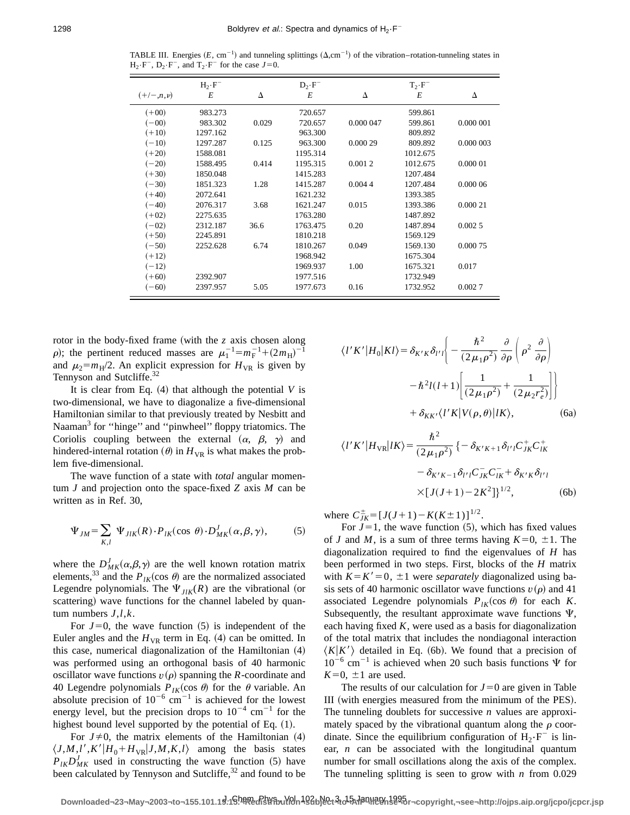TABLE III. Energies  $(E, cm^{-1})$  and tunneling splittings  $(\Delta, cm^{-1})$  of the vibration–rotation-tunneling states in  $H_2 \cdot F^-$ ,  $D_2 \cdot F^-$ , and  $T_2 \cdot F^-$  for the case  $J=0$ .

|                 | $H_2 \cdot F^-$ |       | $D_{2} \cdot F^{-}$ |           | $T_2 \cdot F^-$ |           |
|-----------------|-----------------|-------|---------------------|-----------|-----------------|-----------|
| $(+/-, n, \nu)$ | E               | Δ     | E                   | Δ         | E               | Δ         |
| $(+00)$         | 983.273         |       | 720.657             |           | 599.861         |           |
| $(-00)$         | 983.302         | 0.029 | 720.657             | 0.000 047 | 599.861         | 0.000 001 |
| $(+10)$         | 1297.162        |       | 963.300             |           | 809.892         |           |
| $(-10)$         | 1297.287        | 0.125 | 963.300             | 0.000 29  | 809.892         | 0.000 003 |
| $(+20)$         | 1588.081        |       | 1195.314            |           | 1012.675        |           |
| $(-20)$         | 1588.495        | 0.414 | 1195.315            | 0.0012    | 1012.675        | 0.000 01  |
| $(+30)$         | 1850.048        |       | 1415.283            |           | 1207.484        |           |
| $(-30)$         | 1851.323        | 1.28  | 1415.287            | 0.0044    | 1207.484        | 0.00006   |
| $(+40)$         | 2072.641        |       | 1621.232            |           | 1393.385        |           |
| $(-40)$         | 2076.317        | 3.68  | 1621.247            | 0.015     | 1393.386        | 0.000 21  |
| $(+02)$         | 2275.635        |       | 1763.280            |           | 1487.892        |           |
| $(-02)$         | 2312.187        | 36.6  | 1763.475            | 0.20      | 1487.894        | 0.0025    |
| $(+50)$         | 2245.891        |       | 1810.218            |           | 1569.129        |           |
| $(-50)$         | 2252.628        | 6.74  | 1810.267            | 0.049     | 1569.130        | 0.000 75  |
| $(+12)$         |                 |       | 1968.942            |           | 1675.304        |           |
| $(-12)$         |                 |       | 1969.937            | 1.00      | 1675.321        | 0.017     |
| $(+60)$         | 2392.907        |       | 1977.516            |           | 1732.949        |           |
| $(-60)$         | 2397.957        | 5.05  | 1977.673            | 0.16      | 1732.952        | 0.0027    |

rotor in the body-fixed frame (with the  $z$  axis chosen along  $\rho$ ); the pertinent reduced masses are  $\mu_1^{-1} = m_F^{-1} + (2m_H)^{-1}$ and  $\mu_2 = m_H/2$ . An explicit expression for  $H_{VR}$  is given by Tennyson and Sutcliffe.<sup>32</sup>

It is clear from Eq.  $(4)$  that although the potential *V* is two-dimensional, we have to diagonalize a five-dimensional Hamiltonian similar to that previously treated by Nesbitt and Naaman<sup>3</sup> for "hinge" and "pinwheel" floppy triatomics. The Coriolis coupling between the external  $(\alpha, \beta, \gamma)$  and hindered-internal rotation  $(\theta)$  in  $H_{VR}$  is what makes the problem five-dimensional.

The wave function of a state with *total* angular momentum *J* and projection onto the space-fixed *Z* axis *M* can be written as in Ref. 30,

$$
\Psi_{JM} = \sum_{K,l} \Psi_{JIK}(R) \cdot P_{IK}(\cos \theta) \cdot D_{MK}^J(\alpha, \beta, \gamma), \tag{5}
$$

where the  $D_{MK}^{J}(\alpha, \beta, \gamma)$  are the well known rotation matrix elements,<sup>33</sup> and the  $P_{1K}(\cos \theta)$  are the normalized associated Legendre polynomials. The  $\Psi_{I/K}(R)$  are the vibrational (or scattering) wave functions for the channel labeled by quantum numbers *J*,*l*,*k*.

For  $J=0$ , the wave function  $(5)$  is independent of the Euler angles and the  $H_{VR}$  term in Eq. (4) can be omitted. In this case, numerical diagonalization of the Hamiltonian  $(4)$ was performed using an orthogonal basis of 40 harmonic oscillator wave functions  $v(\rho)$  spanning the *R*-coordinate and 40 Legendre polynomials  $P_{IK}(\cos \theta)$  for the  $\theta$  variable. An absolute precision of  $10^{-6}$  cm<sup>-1</sup> is achieved for the lowest energy level, but the precision drops to  $10^{-4}$  cm<sup>-1</sup> for the highest bound level supported by the potential of Eq.  $(1)$ .

For  $J\neq 0$ , the matrix elements of the Hamiltonian (4)  $\langle J, M, l', K'|H_0 + H_{VR}|J, M, K, l \rangle$  among the basis states  $P_{IK}D_{MK}^{J}$  used in constructing the wave function (5) have been calculated by Tennyson and Sutcliffe,<sup>32</sup> and found to be

$$
\langle l'K'|H_0|Kl\rangle = \delta_{K'K}\delta_{l'l}\left(-\frac{\hbar^2}{(2\mu_1\rho^2)}\frac{\partial}{\partial\rho}\left(\rho^2\frac{\partial}{\partial\rho}\right)\right)
$$

$$
-\hbar^2l(l+1)\left[\frac{1}{(2\mu_1\rho^2)}+\frac{1}{(2\mu_2r_e^2)}\right]\right\}
$$

$$
+\delta_{KK'}\langle l'K'|K|V(\rho,\theta)|lK\rangle, \qquad (6a)
$$

$$
\langle l'K'|H_{VR}|lK\rangle = \frac{\hbar^2}{(2\mu_1\rho^2)}\left\{-\delta_{K'K+1}\delta_{l'l}C_{JK}^+C_{lK}^+\right\}
$$

$$
- \delta_{K'K-1} \delta_{l'l} C_{JK}^{-} C_{IK}^{-} + \delta_{K'K} \delta_{l'l}
$$
  
×[ $J(J+1)-2K^2$ ]}<sup>1/2</sup>, (6b)

where  $C_{JK}^{\pm} = [J(J+1) - K(K \pm 1)]^{1/2}$ .

For  $J=1$ , the wave function (5), which has fixed values of *J* and *M*, is a sum of three terms having  $K=0, \pm 1$ . The diagonalization required to find the eigenvalues of *H* has been performed in two steps. First, blocks of the *H* matrix with  $K = K' = 0$ ,  $\pm 1$  were *separately* diagonalized using basis sets of 40 harmonic oscillator wave functions  $v(\rho)$  and 41 associated Legendre polynomials  $P_{IK}(\cos \theta)$  for each *K*. Subsequently, the resultant approximate wave functions  $\Psi$ , each having fixed *K*, were used as a basis for diagonalization of the total matrix that includes the nondiagonal interaction  $\langle K|K'\rangle$  detailed in Eq. (6b). We found that a precision of  $10^{-6}$  cm<sup>-1</sup> is achieved when 20 such basis functions  $\Psi$  for  $K=0$ ,  $\pm 1$  are used.

The results of our calculation for  $J=0$  are given in Table III (with energies measured from the minimum of the PES). The tunneling doublets for successive *n* values are approximately spaced by the vibrational quantum along the  $\rho$  coordinate. Since the equilibrium configuration of  $H_2 \cdot F^-$  is linear, *n* can be associated with the longitudinal quantum number for small oscillations along the axis of the complex. The tunneling splitting is seen to grow with *n* from 0.029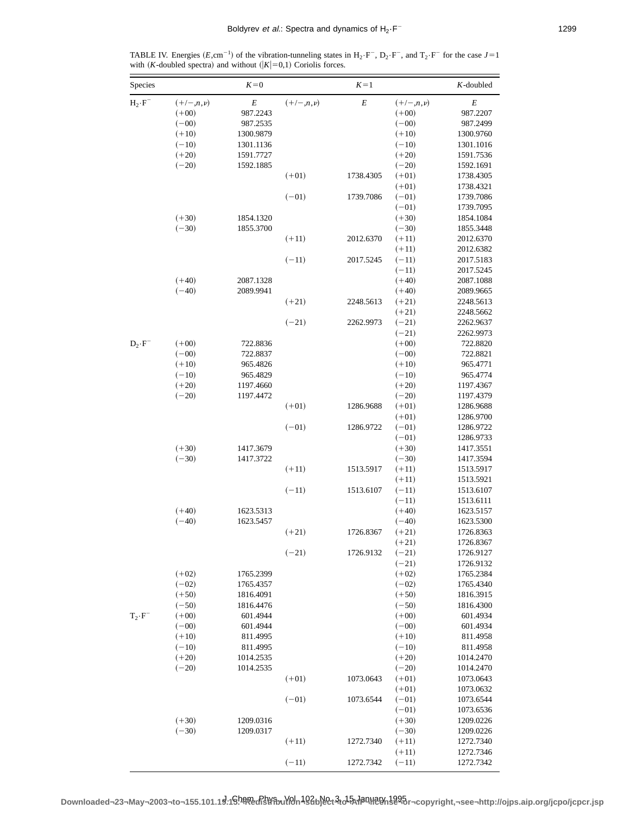TABLE IV. Energies (*E*,cm<sup>-1</sup>) of the vibration-tunneling states in H<sub>2</sub>·F<sup>-</sup>, D<sub>2</sub>·F<sup>-</sup>, and T<sub>2</sub>·F<sup>-</sup> for the case *J*=1 with (*K*-doubled spectra) and without ( $|K|=0,1$ ) Coriolis forces.

| Species         |                 | $K=0$     |                 | $K = 1$   |                 | $K$ -doubled |
|-----------------|-----------------|-----------|-----------------|-----------|-----------------|--------------|
| $H_2 \cdot F^-$ | $(+/-, n, \nu)$ | $\cal E$  | $(+/-, n, \nu)$ | $\cal E$  | $(+/-, n, \nu)$ | $\cal E$     |
|                 | $(+00)$         | 987.2243  |                 |           | $(+00)$         | 987.2207     |
|                 | $(-00)$         | 987.2535  |                 |           | $(-00)$         | 987.2499     |
|                 | $(+10)$         | 1300.9879 |                 |           | $(+10)$         | 1300.9760    |
|                 | $(-10)$         | 1301.1136 |                 |           | $(-10)$         | 1301.1016    |
|                 | $(+20)$         | 1591.7727 |                 |           | $(+20)$         | 1591.7536    |
|                 | $(-20)$         | 1592.1885 |                 |           | $(-20)$         | 1592.1691    |
|                 |                 |           | $(+01)$         | 1738.4305 | $(+01)$         | 1738.4305    |
|                 |                 |           |                 |           | $(+01)$         | 1738.4321    |
|                 |                 |           | $(-01)$         | 1739.7086 | $(-01)$         | 1739.7086    |
|                 |                 |           |                 |           | $(-01)$         | 1739.7095    |
|                 | $(+30)$         | 1854.1320 |                 |           | $(+30)$         | 1854.1084    |
|                 | $(-30)$         | 1855.3700 |                 |           | $(-30)$         | 1855.3448    |
|                 |                 |           | $(+11)$         | 2012.6370 | $(+11)$         | 2012.6370    |
|                 |                 |           |                 |           | $(+11)$         | 2012.6382    |
|                 |                 |           | $(-11)$         | 2017.5245 | $(-11)$         | 2017.5183    |
|                 |                 |           |                 |           | $(-11)$         | 2017.5245    |
|                 | $(+40)$         | 2087.1328 |                 |           | $(+40)$         | 2087.1088    |
|                 | $(-40)$         | 2089.9941 |                 |           | $(+40)$         | 2089.9665    |
|                 |                 |           | $(+21)$         | 2248.5613 | $(+21)$         | 2248.5613    |
|                 |                 |           |                 |           | $(+21)$         | 2248.5662    |
|                 |                 |           | $(-21)$         | 2262.9973 | $(-21)$         | 2262.9637    |
|                 |                 |           |                 |           | $(-21)$         | 2262.9973    |
|                 | $(+00)$         | 722.8836  |                 |           | $(+00)$         | 722.8820     |
| $D_2 \cdot F^-$ |                 |           |                 |           |                 |              |
|                 | $(-00)$         | 722.8837  |                 |           | $(-00)$         | 722.8821     |
|                 | $(+10)$         | 965.4826  |                 |           | $(+10)$         | 965.4771     |
|                 | $(-10)$         | 965.4829  |                 |           | $(-10)$         | 965.4774     |
|                 | $(+20)$         | 1197.4660 |                 |           | $(+20)$         | 1197.4367    |
|                 | $(-20)$         | 1197.4472 |                 |           | $(-20)$         | 1197.4379    |
|                 |                 |           | $(+01)$         | 1286.9688 | $(+01)$         | 1286.9688    |
|                 |                 |           |                 |           | $(+01)$         | 1286.9700    |
|                 |                 |           | $(-01)$         | 1286.9722 | $(-01)$         | 1286.9722    |
|                 |                 |           |                 |           | $(-01)$         | 1286.9733    |
|                 | $(+30)$         | 1417.3679 |                 |           | $(+30)$         | 1417.3551    |
|                 | $(-30)$         | 1417.3722 |                 |           | $(-30)$         | 1417.3594    |
|                 |                 |           | $(+11)$         | 1513.5917 | $(+11)$         | 1513.5917    |
|                 |                 |           |                 |           | $(+11)$         | 1513.5921    |
|                 |                 |           | $(-11)$         | 1513.6107 | $(-11)$         | 1513.6107    |
|                 |                 |           |                 |           | $(-11)$         | 1513.6111    |
|                 | $(+40)$         | 1623.5313 |                 |           | $(+40)$         | 1623.5157    |
|                 | $(-40)$         | 1623.5457 |                 |           | $(-40)$         | 1623.5300    |
|                 |                 |           | $(+21)$         | 1726.8367 | $(+21)$         | 1726.8363    |
|                 |                 |           |                 |           | $(+21)$         | 1726.8367    |
|                 |                 |           | $(-21)$         | 1726.9132 | $(-21)$         | 1726.9127    |
|                 |                 |           |                 |           | $(-21)$         | 1726.9132    |
|                 | $(+02)$         | 1765.2399 |                 |           | $(+02)$         | 1765.2384    |
|                 | $(-02)$         | 1765.4357 |                 |           | $(-02)$         | 1765.4340    |
|                 | $(+50)$         | 1816.4091 |                 |           | $(+50)$         | 1816.3915    |
|                 | $(-50)$         | 1816.4476 |                 |           | $(-50)$         | 1816.4300    |
| $T_2 \cdot F^-$ | $(+00)$         | 601.4944  |                 |           | $(+00)$         | 601.4934     |
|                 | $(-00)$         | 601.4944  |                 |           | $(-00)$         | 601.4934     |
|                 | $(+10)$         | 811.4995  |                 |           | $(+10)$         | 811.4958     |
|                 | $(-10)$         | 811.4995  |                 |           | $(-10)$         | 811.4958     |
|                 | $(+20)$         | 1014.2535 |                 |           | $(+20)$         | 1014.2470    |
|                 | $(-20)$         | 1014.2535 |                 |           | $(-20)$         | 1014.2470    |
|                 |                 |           | $(+01)$         | 1073.0643 | $(+01)$         | 1073.0643    |
|                 |                 |           |                 |           | $(+01)$         | 1073.0632    |
|                 |                 |           | $(-01)$         | 1073.6544 | $(-01)$         | 1073.6544    |
|                 |                 |           |                 |           | $(-01)$         | 1073.6536    |
|                 | $(+30)$         | 1209.0316 |                 |           | $(+30)$         | 1209.0226    |
|                 | $(-30)$         | 1209.0317 |                 |           | $(-30)$         | 1209.0226    |
|                 |                 |           | $(+11)$         | 1272.7340 | $(+11)$         | 1272.7340    |
|                 |                 |           |                 |           |                 |              |
|                 |                 |           |                 |           | $(+11)$         | 1272.7346    |
|                 |                 |           | $(-11)$         | 1272.7342 | $(-11)$         | 1272.7342    |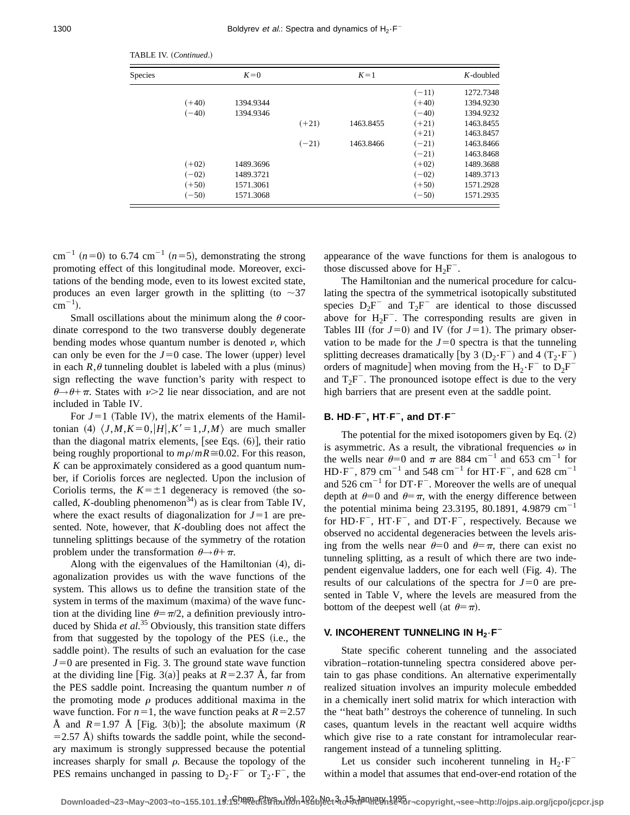| <b>Species</b> |         | $K=0$     |         | $K=1$     |         | $K$ -doubled |
|----------------|---------|-----------|---------|-----------|---------|--------------|
|                |         |           |         |           | $(-11)$ | 1272.7348    |
|                | $(+40)$ | 1394.9344 |         |           | $(+40)$ | 1394.9230    |
|                | $(-40)$ | 1394.9346 |         |           | $(-40)$ | 1394.9232    |
|                |         |           | $(+21)$ | 1463.8455 | $(+21)$ | 1463.8455    |
|                |         |           |         |           | $(+21)$ | 1463.8457    |
|                |         |           | $(-21)$ | 1463.8466 | $(-21)$ | 1463.8466    |
|                |         |           |         |           | $(-21)$ | 1463.8468    |
|                | $(+02)$ | 1489.3696 |         |           | $(+02)$ | 1489.3688    |
|                | $(-02)$ | 1489.3721 |         |           | $(-02)$ | 1489.3713    |
|                | $(+50)$ | 1571.3061 |         |           | $(+50)$ | 1571.2928    |
|                | $(-50)$ | 1571.3068 |         |           | $(-50)$ | 1571.2935    |

TABLE IV. (Continued.)

 $cm^{-1}$  ( $n=0$ ) to 6.74 cm<sup>-1</sup> ( $n=5$ ), demonstrating the strong promoting effect of this longitudinal mode. Moreover, excitations of the bending mode, even to its lowest excited state, produces an even larger growth in the splitting (to  $\sim$ 37  $\text{cm}^{-1}$ ).

Small oscillations about the minimum along the  $\theta$  coordinate correspond to the two transverse doubly degenerate bending modes whose quantum number is denoted  $\nu$ , which can only be even for the  $J=0$  case. The lower (upper) level in each  $R, \theta$  tunneling doublet is labeled with a plus (minus) sign reflecting the wave function's parity with respect to  $\theta \rightarrow \theta + \pi$ . States with  $\nu > 2$  lie near dissociation, and are not included in Table IV.

For  $J=1$  (Table IV), the matrix elements of the Hamiltonian (4)  $\langle J, M, K=0, |H|, K'=1, J, M \rangle$  are much smaller than the diagonal matrix elements, [see Eqs.  $(6)$ ], their ratio being roughly proportional to  $m\rho/mR \approx 0.02$ . For this reason, *K* can be approximately considered as a good quantum number, if Coriolis forces are neglected. Upon the inclusion of Coriolis terms, the  $K=\pm 1$  degeneracy is removed (the socalled, *K*-doubling phenomenon<sup>34</sup>) as is clear from Table IV, where the exact results of diagonalization for  $J=1$  are presented. Note, however, that *K*-doubling does not affect the tunneling splittings because of the symmetry of the rotation problem under the transformation  $\theta \rightarrow \theta + \pi$ .

Along with the eigenvalues of the Hamiltonian  $(4)$ , diagonalization provides us with the wave functions of the system. This allows us to define the transition state of the system in terms of the maximum (maxima) of the wave function at the dividing line  $\theta = \pi/2$ , a definition previously introduced by Shida *et al.*<sup>35</sup> Obviously, this transition state differs from that suggested by the topology of the PES (i.e., the saddle point). The results of such an evaluation for the case  $J=0$  are presented in Fig. 3. The ground state wave function at the dividing line [Fig. 3(a)] peaks at  $R=2.37$  Å, far from the PES saddle point. Increasing the quantum number *n* of the promoting mode  $\rho$  produces additional maxima in the wave function. For  $n=1$ , the wave function peaks at  $R=2.57$ Å and  $R=1.97$  Å [Fig. 3(b)]; the absolute maximum (R)  $=$  2.57 Å) shifts towards the saddle point, while the secondary maximum is strongly suppressed because the potential increases sharply for small  $\rho$ . Because the topology of the PES remains unchanged in passing to  $D_2 \cdot F^-$  or  $T_2 \cdot F^-$ , the appearance of the wave functions for them is analogous to those discussed above for  $H_2F^-$ .

The Hamiltonian and the numerical procedure for calculating the spectra of the symmetrical isotopically substituted species  $D_2F^-$  and  $T_2F^-$  are identical to those discussed above for  $H_2F^-$ . The corresponding results are given in Tables III (for  $J=0$ ) and IV (for  $J=1$ ). The primary observation to be made for the  $J=0$  spectra is that the tunneling splitting decreases dramatically [by 3  $(D_2 \cdot F^-)$  and 4  $(T_2 \cdot F^-)$ orders of magnitude] when moving from the  $H_2 \cdot F^-$  to  $D_2F^$ and  $T_2F^-$ . The pronounced isotope effect is due to the very high barriers that are present even at the saddle point.

#### **B. HD**–**F**<sup>2</sup>**, HT**–**F**<sup>2</sup>**, and DT**–**F**<sup>2</sup>

The potential for the mixed isotopomers given by Eq.  $(2)$ is asymmetric. As a result, the vibrational frequencies  $\omega$  in the wells near  $\theta=0$  and  $\pi$  are 884 cm<sup>-1</sup> and 653 cm<sup>-1</sup> for HD-F<sup>-</sup>, 879 cm<sup>-1</sup> and 548 cm<sup>-1</sup> for HT-F<sup>-</sup>, and 628 cm<sup>-1</sup> and  $526 \text{ cm}^{-1}$  for  $DT\cdot F^-$ . Moreover the wells are of unequal depth at  $\theta=0$  and  $\theta=\pi$ , with the energy difference between the potential minima being 23.3195, 80.1891, 4.9879  $cm^{-1}$ for  $HD\cdot F^-$ ,  $HT\cdot F^-$ , and  $DT\cdot F^-$ , respectively. Because we observed no accidental degeneracies between the levels arising from the wells near  $\theta=0$  and  $\theta=\pi$ , there can exist no tunneling splitting, as a result of which there are two independent eigenvalue ladders, one for each well (Fig. 4). The results of our calculations of the spectra for  $J=0$  are presented in Table V, where the levels are measured from the bottom of the deepest well (at  $\theta = \pi$ ).

## **V. INCOHERENT TUNNELING IN H<sub>2</sub>**·**F**<sup>-</sup>

State specific coherent tunneling and the associated vibration–rotation-tunneling spectra considered above pertain to gas phase conditions. An alternative experimentally realized situation involves an impurity molecule embedded in a chemically inert solid matrix for which interaction with the ''heat bath'' destroys the coherence of tunneling. In such cases, quantum levels in the reactant well acquire widths which give rise to a rate constant for intramolecular rearrangement instead of a tunneling splitting.

Let us consider such incoherent tunneling in  $H_2 \cdot F^$ within a model that assumes that end-over-end rotation of the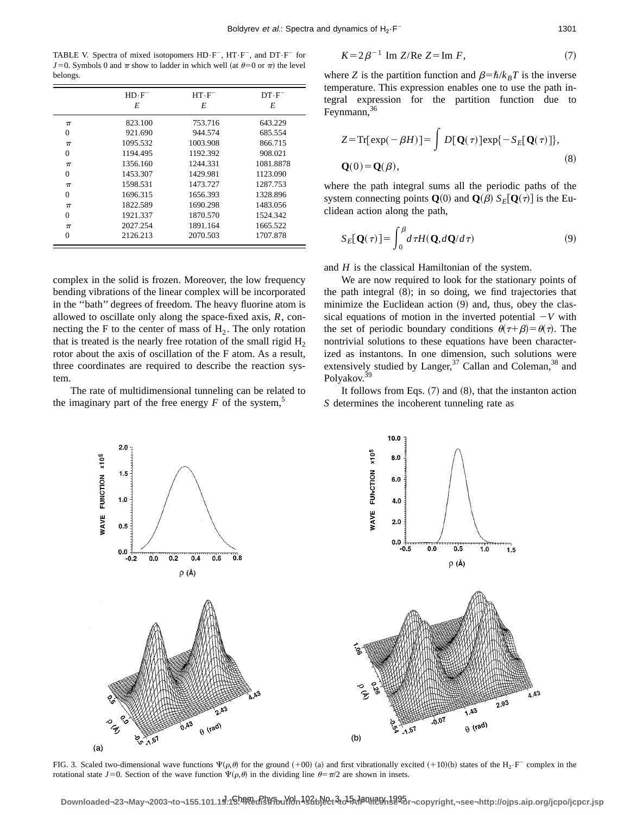TABLE V. Spectra of mixed isotopomers  $HD\cdot F^-$ ,  $HT\cdot F^-$ , and  $DT\cdot F^-$  for *J*=0. Symbols 0 and  $\pi$  show to ladder in which well (at  $\theta=0$  or  $\pi$ ) the level belongs.

|          | $HD\cdot F^-$<br>E | $HT \cdot F^-$<br>E | $DT \cdot F^-$<br>E |
|----------|--------------------|---------------------|---------------------|
| $\pi$    | 823.100            | 753.716             | 643.229             |
| $\Omega$ | 921.690            | 944.574             | 685.554             |
| $\pi$    | 1095.532           | 1003.908            | 866.715             |
| $\theta$ | 1194.495           | 1192.392            | 908.021             |
| $\pi$    | 1356.160           | 1244.331            | 1081.8878           |
| $\theta$ | 1453.307           | 1429.981            | 1123.090            |
| $\pi$    | 1598.531           | 1473.727            | 1287.753            |
| $\theta$ | 1696.315           | 1656.393            | 1328.896            |
| $\pi$    | 1822.589           | 1690.298            | 1483.056            |
| $\theta$ | 1921.337           | 1870.570            | 1524.342            |
| $\pi$    | 2027.254           | 1891.164            | 1665.522            |
| $\Omega$ | 2126.213           | 2070.503            | 1707.878            |

complex in the solid is frozen. Moreover, the low frequency bending vibrations of the linear complex will be incorporated in the ''bath'' degrees of freedom. The heavy fluorine atom is allowed to oscillate only along the space-fixed axis, *R*, connecting the F to the center of mass of  $H_2$ . The only rotation that is treated is the nearly free rotation of the small rigid  $H_2$ rotor about the axis of oscillation of the F atom. As a result, three coordinates are required to describe the reaction system.

The rate of multidimensional tunneling can be related to the imaginary part of the free energy  $F$  of the system,<sup>5</sup>



where *Z* is the partition function and  $\beta = \hbar/k_BT$  is the inverse temperature. This expression enables one to use the path integral expression for the partition function due to Feynmann,<sup>36</sup>

$$
Z = \text{Tr}[\exp(-\beta H)] = \int D[\mathbf{Q}(\tau)] \exp\{-S_E[\mathbf{Q}(\tau)]\},
$$
  
 
$$
\mathbf{Q}(0) = \mathbf{Q}(\beta),
$$
 (8)

where the path integral sums all the periodic paths of the system connecting points **Q**(0) and **Q**( $\beta$ )  $S_E$ [**Q**( $\tau$ )] is the Euclidean action along the path,

$$
S_E[\mathbf{Q}(\tau)] = \int_0^\beta d\tau H(\mathbf{Q}, d\mathbf{Q}/d\tau) \tag{9}
$$

and *H* is the classical Hamiltonian of the system.

We are now required to look for the stationary points of the path integral  $(8)$ ; in so doing, we find trajectories that minimize the Euclidean action  $(9)$  and, thus, obey the classical equations of motion in the inverted potential  $-V$  with the set of periodic boundary conditions  $\theta(\tau+\beta)=\theta(\tau)$ . The nontrivial solutions to these equations have been characterized as instantons. In one dimension, such solutions were extensively studied by Langer,  $37$  Callan and Coleman,  $38$  and Polyakov.<sup>39</sup>

It follows from Eqs.  $(7)$  and  $(8)$ , that the instanton action *S* determines the incoherent tunneling rate as

A.43



FIG. 3. Scaled two-dimensional wave functions  $\Psi(\rho, \theta)$  for the ground  $(+00)$  (a) and first vibrationally excited  $(+10)$ (b) states of the H<sub>2</sub>·F<sup>-</sup> complex in the rotational state *J*=0. Section of the wave function  $\Psi(\rho,\theta)$  in the dividing line  $\theta = \pi/2$  are shown in insets.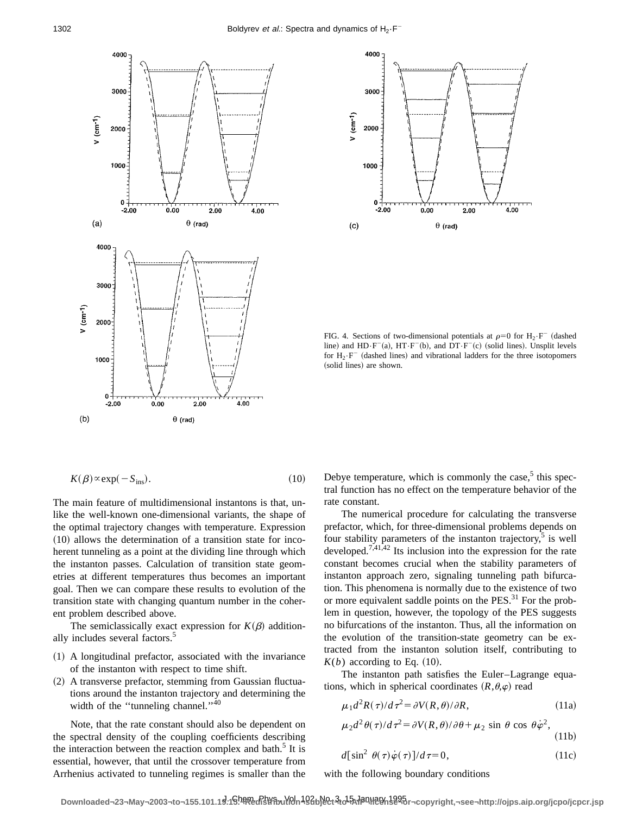



FIG. 4. Sections of two-dimensional potentials at  $\rho=0$  for  $H_2 \cdot F^-$  (dashed line) and  $HD\cdot F^-(a)$ ,  $HT\cdot F^-(b)$ , and  $DT\cdot F^-(c)$  (solid lines). Unsplit levels for  $H_2 \cdot F^-$  (dashed lines) and vibrational ladders for the three isotopomers (solid lines) are shown.

$$
K(\beta) \propto \exp(-S_{\text{ins}}). \tag{10}
$$

The main feature of multidimensional instantons is that, unlike the well-known one-dimensional variants, the shape of the optimal trajectory changes with temperature. Expression  $(10)$  allows the determination of a transition state for incoherent tunneling as a point at the dividing line through which the instanton passes. Calculation of transition state geometries at different temperatures thus becomes an important goal. Then we can compare these results to evolution of the transition state with changing quantum number in the coherent problem described above.

The semiclassically exact expression for  $K(\beta)$  additionally includes several factors.<sup>5</sup>

- $(1)$  A longitudinal prefactor, associated with the invariance of the instanton with respect to time shift.
- $(2)$  A transverse prefactor, stemming from Gaussian fluctuations around the instanton trajectory and determining the width of the "tunneling channel."<sup>40</sup>

Note, that the rate constant should also be dependent on the spectral density of the coupling coefficients describing the interaction between the reaction complex and bath.<sup>5</sup> It is essential, however, that until the crossover temperature from Arrhenius activated to tunneling regimes is smaller than the Debye temperature, which is commonly the case, $5$  this spectral function has no effect on the temperature behavior of the rate constant.

The numerical procedure for calculating the transverse prefactor, which, for three-dimensional problems depends on four stability parameters of the instanton trajectory, $5$  is well developed.<sup>7,41,42</sup> Its inclusion into the expression for the rate constant becomes crucial when the stability parameters of instanton approach zero, signaling tunneling path bifurcation. This phenomena is normally due to the existence of two or more equivalent saddle points on the PES.<sup>31</sup> For the problem in question, however, the topology of the PES suggests no bifurcations of the instanton. Thus, all the information on the evolution of the transition-state geometry can be extracted from the instanton solution itself, contributing to  $K(b)$  according to Eq. (10).

The instanton path satisfies the Euler–Lagrange equations, which in spherical coordinates  $(R,\theta,\varphi)$  read

$$
\mu_1 d^2 R(\tau) / d\tau^2 = \partial V(R, \theta) / \partial R, \qquad (11a)
$$

$$
\mu_2 d^2 \theta(\tau) / d\tau^2 = \partial V(R, \theta) / \partial \theta + \mu_2 \sin \theta \cos \theta \dot{\varphi}^2,
$$
\n(11b)

$$
d\left[\sin^2\theta(\tau)\dot{\varphi}(\tau)\right]/d\tau=0,\tag{11c}
$$

with the following boundary conditions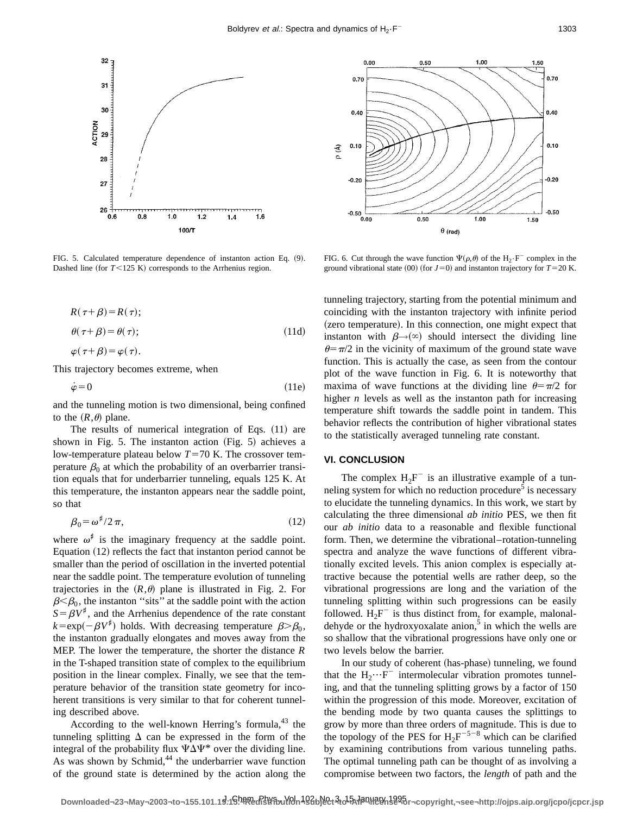

FIG. 5. Calculated temperature dependence of instanton action Eq. (9). Dashed line (for  $T$ <125 K) corresponds to the Arrhenius region.

$$
R(\tau + \beta) = R(\tau);
$$
  
\n
$$
\theta(\tau + \beta) = \theta(\tau);
$$
  
\n
$$
\beta(\tau + \beta) = \beta(\tau)
$$
 (11d)

$$
\varphi(\tau+\rho)-\varphi(\tau).
$$

This trajectory becomes extreme, when

$$
\dot{\varphi} = 0 \tag{11e}
$$

and the tunneling motion is two dimensional, being confined to the  $(R, \theta)$  plane.

The results of numerical integration of Eqs.  $(11)$  are shown in Fig. 5. The instanton action  $(Fig. 5)$  achieves a low-temperature plateau below  $T=70$  K. The crossover temperature  $\beta_0$  at which the probability of an overbarrier transition equals that for underbarrier tunneling, equals 125 K. At this temperature, the instanton appears near the saddle point, so that

$$
\beta_0 = \omega^{\sharp}/2\,\pi,\tag{12}
$$

where  $\omega^{\sharp}$  is the imaginary frequency at the saddle point. Equation  $(12)$  reflects the fact that instanton period cannot be smaller than the period of oscillation in the inverted potential near the saddle point. The temperature evolution of tunneling trajectories in the  $(R,\theta)$  plane is illustrated in Fig. 2. For  $\beta < \beta_0$ , the instanton "sits" at the saddle point with the action  $S = \beta V^{\dagger}$ , and the Arrhenius dependence of the rate constant  $k = \exp(-\beta V^*)$  holds. With decreasing temperature  $\beta > \beta_0$ , the instanton gradually elongates and moves away from the MEP. The lower the temperature, the shorter the distance *R* in the T-shaped transition state of complex to the equilibrium position in the linear complex. Finally, we see that the temperature behavior of the transition state geometry for incoherent transitions is very similar to that for coherent tunneling described above.

According to the well-known Herring's formula, $43$  the tunneling splitting  $\Delta$  can be expressed in the form of the integral of the probability flux  $\Psi \Delta \Psi^*$  over the dividing line. As was shown by Schmid, $44$  the underbarrier wave function of the ground state is determined by the action along the



FIG. 6. Cut through the wave function  $\Psi(\rho,\theta)$  of the H<sub>2</sub>·F<sup>-</sup> complex in the ground vibrational state  $(00)$  (for  $J=0$ ) and instanton trajectory for  $T=20$  K.

tunneling trajectory, starting from the potential minimum and coinciding with the instanton trajectory with infinite period (zero temperature). In this connection, one might expect that instanton with  $\beta \rightarrow (\infty)$  should intersect the dividing line  $\theta = \pi/2$  in the vicinity of maximum of the ground state wave function. This is actually the case, as seen from the contour plot of the wave function in Fig. 6. It is noteworthy that maxima of wave functions at the dividing line  $\theta = \pi/2$  for higher  $n$  levels as well as the instanton path for increasing temperature shift towards the saddle point in tandem. This behavior reflects the contribution of higher vibrational states to the statistically averaged tunneling rate constant.

## **VI. CONCLUSION**

The complex  $H_2F^-$  is an illustrative example of a tunneling system for which no reduction procedure<sup>5</sup> is necessary to elucidate the tunneling dynamics. In this work, we start by calculating the three dimensional *ab initio* PES, we then fit our *ab initio* data to a reasonable and flexible functional form. Then, we determine the vibrational–rotation-tunneling spectra and analyze the wave functions of different vibrationally excited levels. This anion complex is especially attractive because the potential wells are rather deep, so the vibrational progressions are long and the variation of the tunneling splitting within such progressions can be easily followed.  $H_2F$ <sup>-</sup> is thus distinct from, for example, malonaldehyde or the hydroxyoxalate anion, $5$  in which the wells are so shallow that the vibrational progressions have only one or two levels below the barrier.

In our study of coherent (has-phase) tunneling, we found that the  $H_2 \cdots F^-$  intermolecular vibration promotes tunneling, and that the tunneling splitting grows by a factor of 150 within the progression of this mode. Moreover, excitation of the bending mode by two quanta causes the splittings to grow by more than three orders of magnitude. This is due to the topology of the PES for  $H_2F^{-5-8}$  which can be clarified by examining contributions from various tunneling paths. The optimal tunneling path can be thought of as involving a compromise between two factors, the *length* of path and the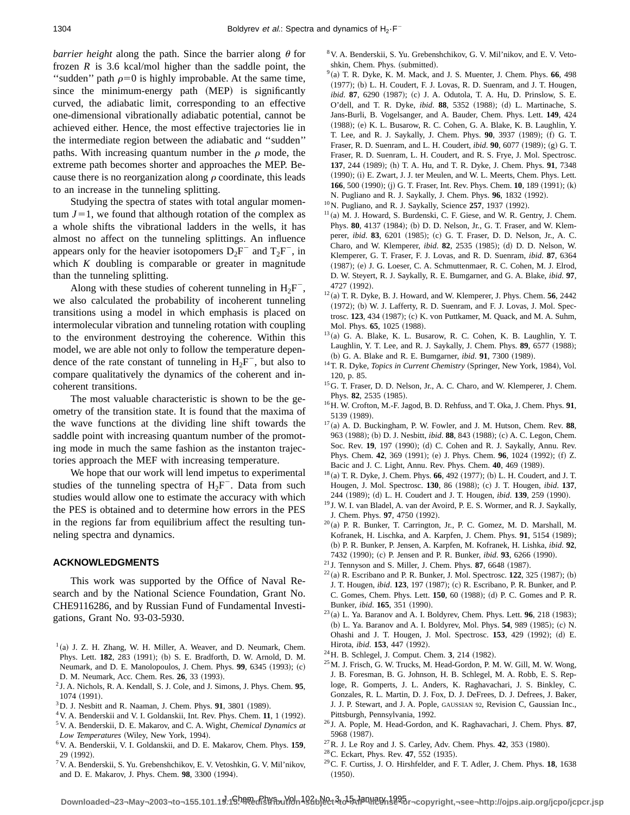*barrier height* along the path. Since the barrier along  $\theta$  for frozen  $R$  is 3.6 kcal/mol higher than the saddle point, the "sudden" path  $\rho=0$  is highly improbable. At the same time, since the minimum-energy path (MEP) is significantly curved, the adiabatic limit, corresponding to an effective one-dimensional vibrationally adiabatic potential, cannot be achieved either. Hence, the most effective trajectories lie in the intermediate region between the adiabatic and ''sudden'' paths. With increasing quantum number in the  $\rho$  mode, the extreme path becomes shorter and approaches the MEP. Because there is no reorganization along  $\rho$  coordinate, this leads to an increase in the tunneling splitting.

Studying the spectra of states with total angular momentum  $J=1$ , we found that although rotation of the complex as a whole shifts the vibrational ladders in the wells, it has almost no affect on the tunneling splittings. An influence appears only for the heavier isotopomers  $D_2F^-$  and  $T_2F^-$ , in which *K* doubling is comparable or greater in magnitude than the tunneling splitting.

Along with these studies of coherent tunneling in  $H_2F^-$ , we also calculated the probability of incoherent tunneling transitions using a model in which emphasis is placed on intermolecular vibration and tunneling rotation with coupling to the environment destroying the coherence. Within this model, we are able not only to follow the temperature dependence of the rate constant of tunneling in  $H_2F^-$ , but also to compare qualitatively the dynamics of the coherent and incoherent transitions.

The most valuable characteristic is shown to be the geometry of the transition state. It is found that the maxima of the wave functions at the dividing line shift towards the saddle point with increasing quantum number of the promoting mode in much the same fashion as the instanton trajectories approach the MEF with increasing temperature.

We hope that our work will lend impetus to experimental studies of the tunneling spectra of  $H_2F^-$ . Data from such studies would allow one to estimate the accuracy with which the PES is obtained and to determine how errors in the PES in the regions far from equilibrium affect the resulting tunneling spectra and dynamics.

## **ACKNOWLEDGMENTS**

This work was supported by the Office of Naval Research and by the National Science Foundation, Grant No. CHE9116286, and by Russian Fund of Fundamental Investigations, Grant No. 93-03-5930.

- $1$ (a) J. Z. H. Zhang, W. H. Miller, A. Weaver, and D. Neumark, Chem. Phys. Lett. 182, 283 (1991); (b) S. E. Bradforth, D. W. Arnold, D. M. Neumark, and D. E. Manolopoulos, J. Chem. Phys. 99, 6345 (1993); (c) D. M. Neumark, Acc. Chem. Res. **26**, 33 (1993).
- <sup>2</sup> J. A. Nichols, R. A. Kendall, S. J. Cole, and J. Simons, J. Phys. Chem. **95**,  $1074 (1991)$ .
- $3$ D. J. Nesbitt and R. Naaman, J. Chem. Phys. **91**, 3801 (1989).
- $4V$ . A. Benderskii and V. I. Goldanskii, Int. Rev. Phys. Chem. 11, 1 (1992).
- 5V. A. Benderskii, D. E. Makarov, and C. A. Wight, *Chemical Dynamics at* Low Temperatures (Wiley, New York, 1994).
- 6V. A. Benderskii, V. I. Goldanskii, and D. E. Makarov, Chem. Phys. **159**, 29 (1992).
- 7V. A. Benderskii, S. Yu. Grebenshchikov, E. V. Vetoshkin, G. V. Mil'nikov, and D. E. Makarov, J. Phys. Chem. 98, 3300 (1994).
- 8V. A. Benderskii, S. Yu. Grebenshchikov, G. V. Mil'nikov, and E. V. Vetoshkin, Chem. Phys. (submitted).
- $9$ (a) T. R. Dyke, K. M. Mack, and J. S. Muenter, J. Chem. Phys. 66, 498  $(1977)$ ; (b) L. H. Coudert, F. J. Lovas, R. D. Suenram, and J. T. Hougen, *ibid.* **87**, 6290 (1987); (c) J. A. Odutola, T. A. Hu, D. Prinslow, S. E. O'dell, and T. R. Dyke, *ibid.* 88, 5352 (1988); (d) L. Martinache, S. Jans-Burli, B. Vogelsanger, and A. Bauder, Chem. Phys. Lett. **149**, 424 (1988); (e) K. L. Busarow, R. C. Cohen, G. A. Blake, K. B. Laughlin, Y. T. Lee, and R. J. Saykally, J. Chem. Phys. **90**, 3937 (1989); (f) G. T. Fraser, R. D. Suenram, and L. H. Coudert, *ibid.* **90**, 6077 (1989); (g) G. T. Fraser, R. D. Suenram, L. H. Coudert, and R. S. Frye, J. Mol. Spectrosc. **137**, 244 (1989); (h) T. A. Hu, and T. R. Dyke, J. Chem. Phys. **91**, 7348 (1990); (i) E. Zwart, J. J. ter Meulen, and W. L. Meerts, Chem. Phys. Lett. 166, 500 (1990); (j) G. T. Fraser, Int. Rev. Phys. Chem. 10, 189 (1991); (k) N. Pugliano and R. J. Saykally, J. Chem. Phys. **96**, 1832 (1992).
- <sup>10</sup>N. Pugliano, and R. J. Saykally, Science 257, 1937 (1992).
- $11$ (a) M. J. Howard, S. Burdenski, C. F. Giese, and W. R. Gentry, J. Chem. Phys. 80, 4137 (1984); (b) D. D. Nelson, Jr., G. T. Fraser, and W. Klemperer, *ibid.* 83, 6201 (1985); (c) G. T. Fraser, D. D. Nelson, Jr., A. C. Charo, and W. Klemperer, *ibid.* **82**, 2535 (1985); (d) D. D. Nelson, W. Klemperer, G. T. Fraser, F. J. Lovas, and R. D. Suenram, *ibid*. **87**, 6364 (1987); (e) J. G. Loeser, C. A. Schmuttenmaer, R. C. Cohen, M. J. Elrod, D. W. Steyert, R. J. Saykally, R. E. Bumgarner, and G. A. Blake, *ibid*. **97**, 4727 (1992).
- $12$  (a) T. R. Dyke, B. J. Howard, and W. Klemperer, J. Phys. Chem. **56**, 2442 (1972); (b) W. J. Lafferty, R. D. Suenram, and F. J. Lovas, J. Mol. Spectrosc. **123**, 434 (1987); (c) K. von Puttkamer, M. Quack, and M. A. Suhm, Mol. Phys. 65, 1025 (1988).
- $13$ (a) G. A. Blake, K. L. Busarow, R. C. Cohen, K. B. Laughlin, Y. T. Laughlin, Y. T. Lee, and R. J. Saykally, J. Chem. Phys. 89, 6577 (1988); (b) G. A. Blake and R. E. Bumgarner, *ibid.* **91**, 7300 (1989).
- <sup>14</sup>T. R. Dyke, *Topics in Current Chemistry* (Springer, New York, 1984), Vol. 120, p. 85.
- <sup>15</sup>G. T. Fraser, D. D. Nelson, Jr., A. C. Charo, and W. Klemperer, J. Chem. Phys. 82, 2535 (1985).
- 16H. W. Crofton, M.-F. Jagod, B. D. Rehfuss, and T. Oka, J. Chem. Phys. **91**, 5139 (1989).
- $17$ (a) A. D. Buckingham, P. W. Fowler, and J. M. Hutson, Chem. Rev. 88, 963 (1988); (b) D. J. Nesbitt, *ibid.* 88, 843 (1988); (c) A. C. Legon, Chem. Soc. Rev. 19, 197 (1990); (d) C. Cohen and R. J. Saykally, Annu. Rev. Phys. Chem. 42, 369 (1991); (e) J. Phys. Chem. 96, 1024 (1992); (f) Z. Bacic and J. C. Light, Annu. Rev. Phys. Chem. **40**, 469 (1989).
- <sup>18</sup> (a) T. R. Dyke, J. Chem. Phys. **66**, 492 (1977); (b) L. H. Coudert, and J. T. Hougen, J. Mol. Spectrosc. 130, 86 (1988); (c) J. T. Hougen, *ibid*. 137, 244 (1989); (d) L. H. Coudert and J. T. Hougen, *ibid*. **139**, 259 (1990).
- <sup>19</sup> J. W. I. van Bladel, A. van der Avoird, P. E. S. Wormer, and R. J. Saykally, J. Chem. Phys. 97, 4750 (1992).
- $20$ (a) P. R. Bunker, T. Carrington, Jr., P. C. Gomez, M. D. Marshall, M. Kofranek, H. Lischka, and A. Karpfen, J. Chem. Phys. 91, 5154 (1989); ~b! P. R. Bunker, P. Jensen, A. Karpfen, M. Kofranek, H. Lishka, *ibid*. **92**, 7432 (1990); (c) P. Jensen and P. R. Bunker, *ibid*. 93, 6266 (1990).
- $21$  J. Tennyson and S. Miller, J. Chem. Phys. **87**, 6648 (1987).
- $22$ (a) R. Escribano and P. R. Bunker, J. Mol. Spectrosc. **122**, 325 (1987); (b) J. T. Hougen, *ibid.* **123**, 197 (1987); (c) R. Escribano, P. R. Bunker, and P. C. Gomes, Chem. Phys. Lett. **150**, 60 (1988); (d) P. C. Gomes and P. R. Bunker, *ibid.* **165**, 351 (1990).
- $^{23}$ (a) L. Ya. Baranov and A. I. Boldyrev, Chem. Phys. Lett. **96**, 218 (1983); (b) L. Ya. Baranov and A. I. Boldyrev, Mol. Phys. **54**, 989 (1985); (c) N. Ohashi and J. T. Hougen, J. Mol. Spectrosc. **153**, 429 (1992); (d) E. Hirota, *ibid.* **153**, 447 (1992).
- <sup>24</sup> H. B. Schlegel, J. Comput. Chem. **3**, 214 (1982).
- 25M. J. Frisch, G. W. Trucks, M. Head-Gordon, P. M. W. Gill, M. W. Wong, J. B. Foresman, B. G. Johnson, H. B. Schlegel, M. A. Robb, E. S. Reploge, R. Gomperts, J. L. Anders, K. Raghavachari, J. S. Binkley, C. Gonzales, R. L. Martin, D. J. Fox, D. J. DeFrees, D. J. Defrees, J. Baker, J. J. P. Stewart, and J. A. Pople, GAUSSIAN 92, Revision C, Gaussian Inc., Pittsburgh, Pennsylvania, 1992.
- <sup>26</sup> J. A. Pople, M. Head-Gordon, and K. Raghavachari, J. Chem. Phys. **87**, 5968 (1987).
- $^{27}$ R. J. Le Roy and J. S. Carley, Adv. Chem. Phys. 42, 353 (1980).
- <sup>28</sup> C. Eckart, Phys. Rev. **47**, 552 (1935).
- 29C. F. Curtiss, J. O. Hirshfelder, and F. T. Adler, J. Chem. Phys. **18**, 1638  $(1950)$ .